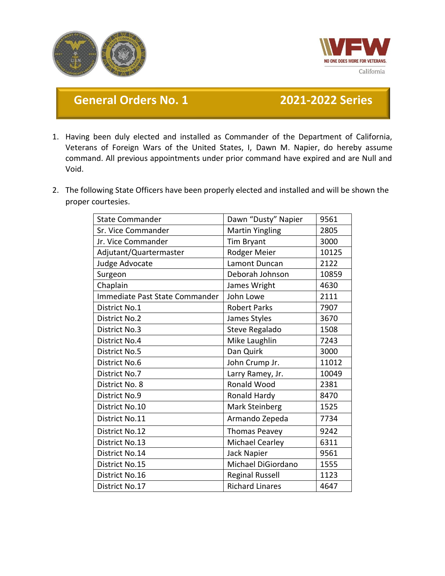



## **General Orders No. 1 2021-2022 Series**

- 1. Having been duly elected and installed as Commander of the Department of California, Veterans of Foreign Wars of the United States, I, Dawn M. Napier, do hereby assume command. All previous appointments under prior command have expired and are Null and Void.
- 2. The following State Officers have been properly elected and installed and will be shown the proper courtesies.

| <b>State Commander</b>         | Dawn "Dusty" Napier    | 9561  |
|--------------------------------|------------------------|-------|
| Sr. Vice Commander             | <b>Martin Yingling</b> | 2805  |
| Jr. Vice Commander             | Tim Bryant             | 3000  |
| Adjutant/Quartermaster         | Rodger Meier           | 10125 |
| Judge Advocate                 | Lamont Duncan          | 2122  |
| Surgeon                        | Deborah Johnson        | 10859 |
| Chaplain                       | James Wright           | 4630  |
| Immediate Past State Commander | John Lowe              | 2111  |
| District No.1                  | <b>Robert Parks</b>    | 7907  |
| <b>District No.2</b>           | James Styles           | 3670  |
| <b>District No.3</b>           | Steve Regalado         | 1508  |
| <b>District No.4</b>           | Mike Laughlin          | 7243  |
| <b>District No.5</b>           | Dan Quirk              | 3000  |
| <b>District No.6</b>           | John Crump Jr.         | 11012 |
| District No.7                  | Larry Ramey, Jr.       | 10049 |
| District No. 8                 | Ronald Wood            | 2381  |
| <b>District No.9</b>           | Ronald Hardy           | 8470  |
| District No.10                 | Mark Steinberg         | 1525  |
| District No.11                 | Armando Zepeda         | 7734  |
| District No.12                 | <b>Thomas Peavey</b>   | 9242  |
| District No.13                 | <b>Michael Cearley</b> | 6311  |
| District No.14                 | Jack Napier            | 9561  |
| District No.15                 | Michael DiGiordano     | 1555  |
| District No.16                 | <b>Reginal Russell</b> | 1123  |
| District No.17                 | <b>Richard Linares</b> | 4647  |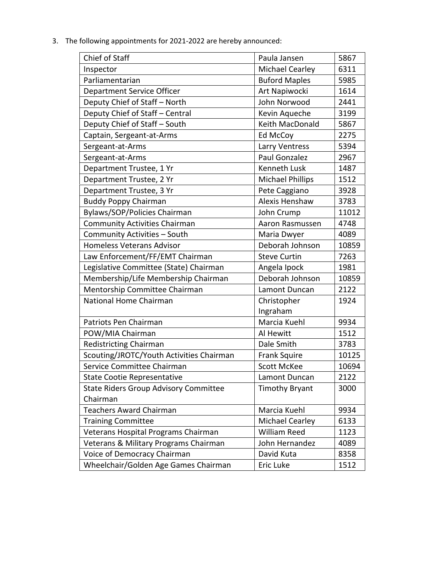| Chief of Staff                               | Paula Jansen            | 5867  |
|----------------------------------------------|-------------------------|-------|
| Inspector                                    | Michael Cearley         | 6311  |
| Parliamentarian                              | <b>Buford Maples</b>    | 5985  |
| Department Service Officer                   | Art Napiwocki           | 1614  |
| Deputy Chief of Staff - North                | John Norwood            | 2441  |
| Deputy Chief of Staff - Central              | Kevin Aqueche           | 3199  |
| Deputy Chief of Staff - South                | Keith MacDonald         | 5867  |
| Captain, Sergeant-at-Arms                    | Ed McCoy                | 2275  |
| Sergeant-at-Arms                             | Larry Ventress          | 5394  |
| Sergeant-at-Arms                             | Paul Gonzalez           | 2967  |
| Department Trustee, 1 Yr                     | <b>Kenneth Lusk</b>     | 1487  |
| Department Trustee, 2 Yr                     | <b>Michael Phillips</b> | 1512  |
| Department Trustee, 3 Yr                     | Pete Caggiano           | 3928  |
| <b>Buddy Poppy Chairman</b>                  | Alexis Henshaw          | 3783  |
| Bylaws/SOP/Policies Chairman                 | John Crump              | 11012 |
| <b>Community Activities Chairman</b>         | Aaron Rasmussen         | 4748  |
| Community Activities - South                 | Maria Dwyer             | 4089  |
| <b>Homeless Veterans Advisor</b>             | Deborah Johnson         | 10859 |
| Law Enforcement/FF/EMT Chairman              | <b>Steve Curtin</b>     | 7263  |
| Legislative Committee (State) Chairman       | Angela Ipock            | 1981  |
| Membership/Life Membership Chairman          | Deborah Johnson         | 10859 |
| Mentorship Committee Chairman                | Lamont Duncan           | 2122  |
| National Home Chairman                       | Christopher             | 1924  |
|                                              | Ingraham                |       |
| Patriots Pen Chairman                        | Marcia Kuehl            | 9934  |
| POW/MIA Chairman                             | Al Hewitt               | 1512  |
| <b>Redistricting Chairman</b>                | Dale Smith              | 3783  |
| Scouting/JROTC/Youth Activities Chairman     | <b>Frank Squire</b>     | 10125 |
| Service Committee Chairman                   | <b>Scott McKee</b>      | 10694 |
| <b>State Cootie Representative</b>           | Lamont Duncan           | 2122  |
| <b>State Riders Group Advisory Committee</b> | <b>Timothy Bryant</b>   | 3000  |
| Chairman                                     |                         |       |
| <b>Teachers Award Chairman</b>               | Marcia Kuehl            | 9934  |
| <b>Training Committee</b>                    | Michael Cearley         | 6133  |
| Veterans Hospital Programs Chairman          | William Reed            | 1123  |
| Veterans & Military Programs Chairman        | John Hernandez          | 4089  |
| Voice of Democracy Chairman                  | David Kuta              | 8358  |
| Wheelchair/Golden Age Games Chairman         | Eric Luke               | 1512  |

3. The following appointments for 2021-2022 are hereby announced: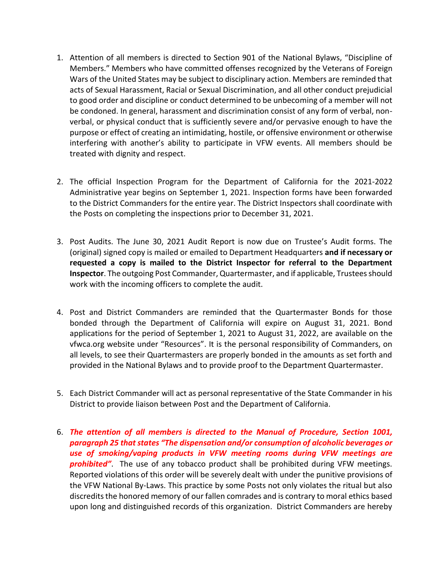- 1. Attention of all members is directed to Section 901 of the National Bylaws, "Discipline of Members." Members who have committed offenses recognized by the Veterans of Foreign Wars of the United States may be subject to disciplinary action. Members are reminded that acts of Sexual Harassment, Racial or Sexual Discrimination, and all other conduct prejudicial to good order and discipline or conduct determined to be unbecoming of a member will not be condoned. In general, harassment and discrimination consist of any form of verbal, nonverbal, or physical conduct that is sufficiently severe and/or pervasive enough to have the purpose or effect of creating an intimidating, hostile, or offensive environment or otherwise interfering with another's ability to participate in VFW events. All members should be treated with dignity and respect.
- 2. The official Inspection Program for the Department of California for the 2021-2022 Administrative year begins on September 1, 2021. Inspection forms have been forwarded to the District Commanders for the entire year. The District Inspectors shall coordinate with the Posts on completing the inspections prior to December 31, 2021.
- 3. Post Audits. The June 30, 2021 Audit Report is now due on Trustee's Audit forms. The (original) signed copy is mailed or emailed to Department Headquarters **and if necessary or requested a copy is mailed to the District Inspector for referral to the Department Inspector**. The outgoing Post Commander, Quartermaster, and if applicable, Trustees should work with the incoming officers to complete the audit.
- 4. Post and District Commanders are reminded that the Quartermaster Bonds for those bonded through the Department of California will expire on August 31, 2021. Bond applications for the period of September 1, 2021 to August 31, 2022, are available on the vfwca.org website under "Resources". It is the personal responsibility of Commanders, on all levels, to see their Quartermasters are properly bonded in the amounts as set forth and provided in the National Bylaws and to provide proof to the Department Quartermaster.
- 5. Each District Commander will act as personal representative of the State Commander in his District to provide liaison between Post and the Department of California.
- 6. *The attention of all members is directed to the Manual of Procedure, Section 1001, paragraph 25 that states "The dispensation and/or consumption of alcoholic beverages or use of smoking/vaping products in VFW meeting rooms during VFW meetings are prohibited"*. The use of any tobacco product shall be prohibited during VFW meetings. Reported violations of this order will be severely dealt with under the punitive provisions of the VFW National By-Laws. This practice by some Posts not only violates the ritual but also discredits the honored memory of our fallen comrades and is contrary to moral ethics based upon long and distinguished records of this organization. District Commanders are hereby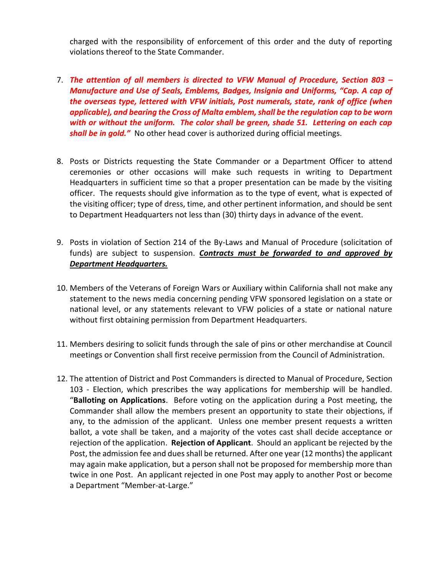charged with the responsibility of enforcement of this order and the duty of reporting violations thereof to the State Commander.

- 7. *The attention of all members is directed to VFW Manual of Procedure, Section 803 – Manufacture and Use of Seals, Emblems, Badges, Insignia and Uniforms, "Cap. A cap of the overseas type, lettered with VFW initials, Post numerals, state, rank of office (when applicable), and bearing the Cross of Malta emblem, shall be the regulation cap to be worn with or without the uniform. The color shall be green, shade 51. Lettering on each cap shall be in gold."* No other head cover is authorized during official meetings.
- 8. Posts or Districts requesting the State Commander or a Department Officer to attend ceremonies or other occasions will make such requests in writing to Department Headquarters in sufficient time so that a proper presentation can be made by the visiting officer. The requests should give information as to the type of event, what is expected of the visiting officer; type of dress, time, and other pertinent information, and should be sent to Department Headquarters not less than (30) thirty days in advance of the event.
- 9. Posts in violation of Section 214 of the By-Laws and Manual of Procedure (solicitation of funds) are subject to suspension. *Contracts must be forwarded to and approved by Department Headquarters.*
- 10. Members of the Veterans of Foreign Wars or Auxiliary within California shall not make any statement to the news media concerning pending VFW sponsored legislation on a state or national level, or any statements relevant to VFW policies of a state or national nature without first obtaining permission from Department Headquarters.
- 11. Members desiring to solicit funds through the sale of pins or other merchandise at Council meetings or Convention shall first receive permission from the Council of Administration.
- 12. The attention of District and Post Commanders is directed to Manual of Procedure, Section 103 - Election, which prescribes the way applications for membership will be handled. "**Balloting on Applications**. Before voting on the application during a Post meeting, the Commander shall allow the members present an opportunity to state their objections, if any, to the admission of the applicant. Unless one member present requests a written ballot, a vote shall be taken, and a majority of the votes cast shall decide acceptance or rejection of the application. **Rejection of Applicant**. Should an applicant be rejected by the Post, the admission fee and dues shall be returned. After one year (12 months) the applicant may again make application, but a person shall not be proposed for membership more than twice in one Post. An applicant rejected in one Post may apply to another Post or become a Department "Member-at-Large."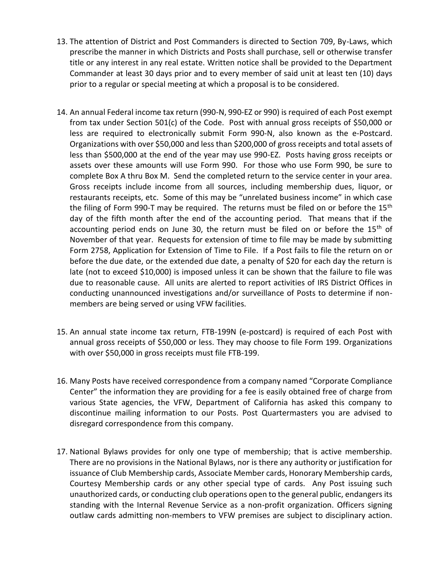- 13. The attention of District and Post Commanders is directed to Section 709, By-Laws, which prescribe the manner in which Districts and Posts shall purchase, sell or otherwise transfer title or any interest in any real estate. Written notice shall be provided to the Department Commander at least 30 days prior and to every member of said unit at least ten (10) days prior to a regular or special meeting at which a proposal is to be considered.
- 14. An annual Federal income tax return (990-N, 990-EZ or 990) is required of each Post exempt from tax under Section 501(c) of the Code. Post with annual gross receipts of \$50,000 or less are required to electronically submit Form 990-N, also known as the e-Postcard. Organizations with over \$50,000 and less than \$200,000 of gross receipts and total assets of less than \$500,000 at the end of the year may use 990-EZ. Posts having gross receipts or assets over these amounts will use Form 990. For those who use Form 990, be sure to complete Box A thru Box M. Send the completed return to the service center in your area. Gross receipts include income from all sources, including membership dues, liquor, or restaurants receipts, etc. Some of this may be "unrelated business income" in which case the filing of Form 990-T may be required. The returns must be filed on or before the 15<sup>th</sup> day of the fifth month after the end of the accounting period. That means that if the accounting period ends on June 30, the return must be filed on or before the  $15<sup>th</sup>$  of November of that year. Requests for extension of time to file may be made by submitting Form 2758, Application for Extension of Time to File. If a Post fails to file the return on or before the due date, or the extended due date, a penalty of \$20 for each day the return is late (not to exceed \$10,000) is imposed unless it can be shown that the failure to file was due to reasonable cause. All units are alerted to report activities of IRS District Offices in conducting unannounced investigations and/or surveillance of Posts to determine if nonmembers are being served or using VFW facilities.
- 15. An annual state income tax return, FTB-199N (e-postcard) is required of each Post with annual gross receipts of \$50,000 or less. They may choose to file Form 199. Organizations with over \$50,000 in gross receipts must file FTB-199.
- 16. Many Posts have received correspondence from a company named "Corporate Compliance Center" the information they are providing for a fee is easily obtained free of charge from various State agencies, the VFW, Department of California has asked this company to discontinue mailing information to our Posts. Post Quartermasters you are advised to disregard correspondence from this company.
- 17. National Bylaws provides for only one type of membership; that is active membership. There are no provisions in the National Bylaws, nor is there any authority or justification for issuance of Club Membership cards, Associate Member cards, Honorary Membership cards, Courtesy Membership cards or any other special type of cards. Any Post issuing such unauthorized cards, or conducting club operations open to the general public, endangers its standing with the Internal Revenue Service as a non-profit organization. Officers signing outlaw cards admitting non-members to VFW premises are subject to disciplinary action.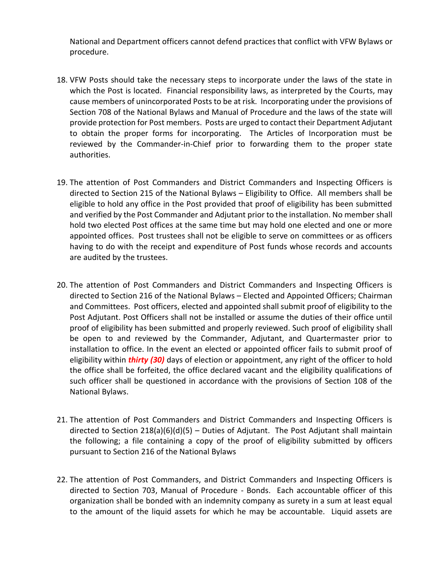National and Department officers cannot defend practices that conflict with VFW Bylaws or procedure.

- 18. VFW Posts should take the necessary steps to incorporate under the laws of the state in which the Post is located. Financial responsibility laws, as interpreted by the Courts, may cause members of unincorporated Posts to be at risk. Incorporating under the provisions of Section 708 of the National Bylaws and Manual of Procedure and the laws of the state will provide protection for Post members. Posts are urged to contact their Department Adjutant to obtain the proper forms for incorporating. The Articles of Incorporation must be reviewed by the Commander-in-Chief prior to forwarding them to the proper state authorities.
- 19. The attention of Post Commanders and District Commanders and Inspecting Officers is directed to Section 215 of the National Bylaws – Eligibility to Office. All members shall be eligible to hold any office in the Post provided that proof of eligibility has been submitted and verified by the Post Commander and Adjutant prior to the installation. No member shall hold two elected Post offices at the same time but may hold one elected and one or more appointed offices. Post trustees shall not be eligible to serve on committees or as officers having to do with the receipt and expenditure of Post funds whose records and accounts are audited by the trustees.
- 20. The attention of Post Commanders and District Commanders and Inspecting Officers is directed to Section 216 of the National Bylaws – Elected and Appointed Officers; Chairman and Committees. Post officers, elected and appointed shall submit proof of eligibility to the Post Adjutant. Post Officers shall not be installed or assume the duties of their office until proof of eligibility has been submitted and properly reviewed. Such proof of eligibility shall be open to and reviewed by the Commander, Adjutant, and Quartermaster prior to installation to office. In the event an elected or appointed officer fails to submit proof of eligibility within *thirty (30)* days of election or appointment, any right of the officer to hold the office shall be forfeited, the office declared vacant and the eligibility qualifications of such officer shall be questioned in accordance with the provisions of Section 108 of the National Bylaws.
- 21. The attention of Post Commanders and District Commanders and Inspecting Officers is directed to Section 218(a)(6)(d)(5) – Duties of Adjutant. The Post Adjutant shall maintain the following; a file containing a copy of the proof of eligibility submitted by officers pursuant to Section 216 of the National Bylaws
- 22. The attention of Post Commanders, and District Commanders and Inspecting Officers is directed to Section 703, Manual of Procedure - Bonds. Each accountable officer of this organization shall be bonded with an indemnity company as surety in a sum at least equal to the amount of the liquid assets for which he may be accountable. Liquid assets are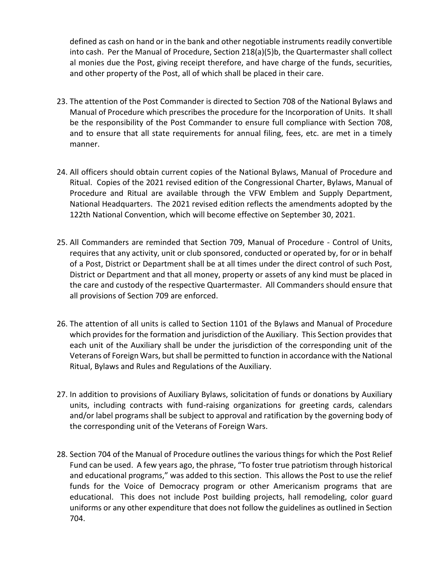defined as cash on hand or in the bank and other negotiable instruments readily convertible into cash. Per the Manual of Procedure, Section 218(a)(5)b, the Quartermaster shall collect al monies due the Post, giving receipt therefore, and have charge of the funds, securities, and other property of the Post, all of which shall be placed in their care.

- 23. The attention of the Post Commander is directed to Section 708 of the National Bylaws and Manual of Procedure which prescribes the procedure for the Incorporation of Units. It shall be the responsibility of the Post Commander to ensure full compliance with Section 708, and to ensure that all state requirements for annual filing, fees, etc. are met in a timely manner.
- 24. All officers should obtain current copies of the National Bylaws, Manual of Procedure and Ritual. Copies of the 2021 revised edition of the Congressional Charter, Bylaws, Manual of Procedure and Ritual are available through the VFW Emblem and Supply Department, National Headquarters. The 2021 revised edition reflects the amendments adopted by the 122th National Convention, which will become effective on September 30, 2021.
- 25. All Commanders are reminded that Section 709, Manual of Procedure Control of Units, requires that any activity, unit or club sponsored, conducted or operated by, for or in behalf of a Post, District or Department shall be at all times under the direct control of such Post, District or Department and that all money, property or assets of any kind must be placed in the care and custody of the respective Quartermaster. All Commanders should ensure that all provisions of Section 709 are enforced.
- 26. The attention of all units is called to Section 1101 of the Bylaws and Manual of Procedure which provides for the formation and jurisdiction of the Auxiliary. This Section provides that each unit of the Auxiliary shall be under the jurisdiction of the corresponding unit of the Veterans of Foreign Wars, but shall be permitted to function in accordance with the National Ritual, Bylaws and Rules and Regulations of the Auxiliary.
- 27. In addition to provisions of Auxiliary Bylaws, solicitation of funds or donations by Auxiliary units, including contracts with fund-raising organizations for greeting cards, calendars and/or label programs shall be subject to approval and ratification by the governing body of the corresponding unit of the Veterans of Foreign Wars.
- 28. Section 704 of the Manual of Procedure outlines the various things for which the Post Relief Fund can be used. A few years ago, the phrase, "To foster true patriotism through historical and educational programs," was added to this section. This allows the Post to use the relief funds for the Voice of Democracy program or other Americanism programs that are educational. This does not include Post building projects, hall remodeling, color guard uniforms or any other expenditure that does not follow the guidelines as outlined in Section 704.